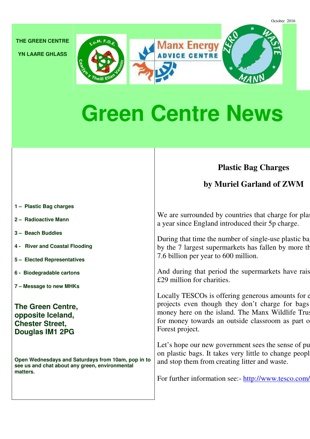**THE GREEN CENTRE** 

**YN LAARE GHLASS**





# **CE CENTRE**

## **Green Centre News**

## **Plastic Bag Charges**

**by Muriel Garland of ZWM** 

- **1 Plastic Bag charges**
- **2 Radioactive Mann**
- **3 Beach Buddies**
- **4 River and Coastal Flooding**
- **5 Elected Representatives**
- **6 Biodegradable cartons**
- **7 Message to new MHKs**

**The Green Centre, opposite Iceland, Chester Street, Douglas IM1 2PG** 

**Open Wednesdays and Saturdays from 10am, pop in to see us and chat about any green, environmental matters.** 

We are surrounded by countries that charge for plastic bags. It is in that charge for plast a year since England introduced their 5p charge.

During that time the number of single-use plastic bags handed out by the 7 largest supermarkets has fallen by more than 7.6 billion per year to 600 million.

And during that period the supermarkets have rais £29 million for charities.

Locally TESCOs is offering generous amounts for  $\epsilon$ projects even though they don't charge for bags money here on the island. The Manx Wildlife Trust for money towards an outside classroom as part o Forest project.

Let's hope our new government sees the sense of pu on plastic bags. It takes very little to change people and stop them from creating litter and waste.

For further information see:- http://www.tesco.com/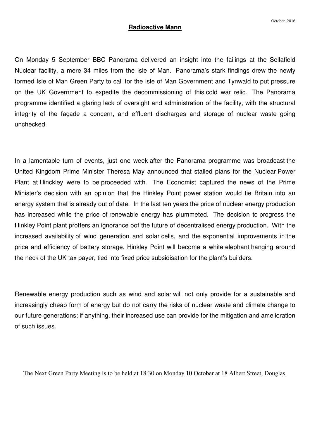## **Radioactive Mann**

On Monday 5 September BBC Panorama delivered an insight into the failings at the Sellafield Nuclear facility, a mere 34 miles from the Isle of Man. Panorama's stark findings drew the newly formed Isle of Man Green Party to call for the Isle of Man Government and Tynwald to put pressure on the UK Government to expedite the decommissioning of this cold war relic. The Panorama programme identified a glaring lack of oversight and administration of the facility, with the structural integrity of the façade a concern, and effluent discharges and storage of nuclear waste going unchecked.

In a lamentable turn of events, just one week after the Panorama programme was broadcast the United Kingdom Prime Minister Theresa May announced that stalled plans for the Nuclear Power Plant at Hinckley were to be proceeded with. The Economist captured the news of the Prime Minister's decision with an opinion that the Hinkley Point power station would tie Britain into an energy system that is already out of date. In the last ten years the price of nuclear energy production has increased while the price of renewable energy has plummeted. The decision to progress the Hinkley Point plant proffers an ignorance oof the future of decentralised energy production. With the increased availability of wind generation and solar cells, and the exponential improvements in the price and efficiency of battery storage, Hinkley Point will become a white elephant hanging around the neck of the UK tax payer, tied into fixed price subsidisation for the plant's builders.

Renewable energy production such as wind and solar will not only provide for a sustainable and increasingly cheap form of energy but do not carry the risks of nuclear waste and climate change to our future generations; if anything, their increased use can provide for the mitigation and amelioration of such issues.

The Next Green Party Meeting is to be held at 18:30 on Monday 10 October at 18 Albert Street, Douglas.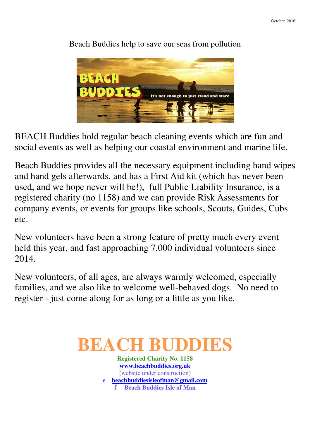

Beach Buddies help to save our seas from pollution

BEACH Buddies hold regular beach cleaning events which are fun and social events as well as helping our coastal environment and marine life.

Beach Buddies provides all the necessary equipment including hand wipes and hand gels afterwards, and has a First Aid kit (which has never been used, and we hope never will be!), full Public Liability Insurance, is a registered charity (no 1158) and we can provide Risk Assessments for company events, or events for groups like schools, Scouts, Guides, Cubs etc.

New volunteers have been a strong feature of pretty much every event held this year, and fast approaching 7,000 individual volunteers since 2014.

New volunteers, of all ages, are always warmly welcomed, especially families, and we also like to welcome well-behaved dogs. No need to register - just come along for as long or a little as you like.

## **BEACH**

**Registered Charity No. 1158 www.beachbuddies.org.uk** (website under construction) **e beachbuddiesisleofman@gmail.com f** Beach Buddies Isle of Man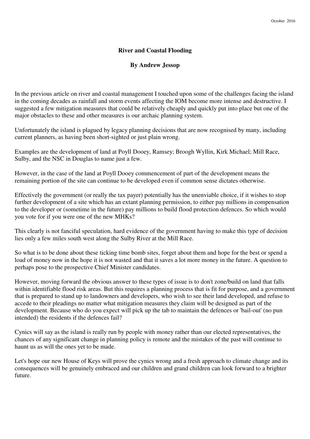### **River and Coastal Flooding**

### **By Andrew Jessop**

In the previous article on river and coastal management I touched upon some of the challenges facing the island in the coming decades as rainfall and storm events affecting the IOM become more intense and destructive. I suggested a few mitigation measures that could be relatively cheaply and quickly put into place but one of the major obstacles to these and other measures is our archaic planning system.

Unfortunately the island is plagued by legacy planning decisions that are now recognised by many, including current planners, as having been short-sighted or just plain wrong.

Examples are the development of land at Poyll Dooey, Ramsey; Broogh Wyllin, Kirk Michael; Mill Race, Sulby, and the NSC in Douglas to name just a few.

However, in the case of the land at Poyll Dooey commencement of part of the development means the remaining portion of the site can continue to be developed even if common sense dictates otherwise.

Effectively the government (or really the tax payer) potentially has the unenviable choice, if it wishes to stop further development of a site which has an extant planning permission, to either pay millions in compensation to the developer or (sometime in the future) pay millions to build flood protection defences. So which would you vote for if you were one of the new MHKs?

This clearly is not fanciful speculation, hard evidence of the government having to make this type of decision lies only a few miles south west along the Sulby River at the Mill Race.

So what is to be done about these ticking time bomb sites, forget about them and hope for the best or spend a load of money now in the hope it is not wasted and that it saves a lot more money in the future. A question to perhaps pose to the prospective Chief Minister candidates.

However, moving forward the obvious answer to these types of issue is to don't zone/build on land that falls within identifiable flood risk areas. But this requires a planning process that is fit for purpose, and a government that is prepared to stand up to landowners and developers, who wish to see their land developed, and refuse to accede to their pleadings no matter what mitigation measures they claim will be designed as part of the development. Because who do you expect will pick up the tab to maintain the defences or 'bail-out' (no pun intended) the residents if the defences fail?

Cynics will say as the island is really run by people with money rather than our elected representatives, the chances of any significant change in planning policy is remote and the mistakes of the past will continue to haunt us as will the ones yet to be made.

Let's hope our new House of Keys will prove the cynics wrong and a fresh approach to climate change and its consequences will be genuinely embraced and our children and grand children can look forward to a brighter future.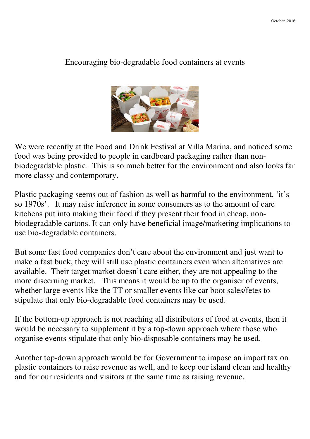## Encouraging bio-degradable food containers at events



We were recently at the Food and Drink Festival at Villa Marina, and noticed some food was being provided to people in cardboard packaging rather than nonbiodegradable plastic. This is so much better for the environment and also looks far more classy and contemporary.

Plastic packaging seems out of fashion as well as harmful to the environment, 'it's so 1970s'. It may raise inference in some consumers as to the amount of care kitchens put into making their food if they present their food in cheap, nonbiodegradable cartons. It can only have beneficial image/marketing implications to use bio-degradable containers.

But some fast food companies don't care about the environment and just want to make a fast buck, they will still use plastic containers even when alternatives are available. Their target market doesn't care either, they are not appealing to the more discerning market. This means it would be up to the organiser of events, whether large events like the TT or smaller events like car boot sales/fetes to stipulate that only bio-degradable food containers may be used.

If the bottom-up approach is not reaching all distributors of food at events, then it would be necessary to supplement it by a top-down approach where those who organise events stipulate that only bio-disposable containers may be used.

Another top-down approach would be for Government to impose an import tax on plastic containers to raise revenue as well, and to keep our island clean and healthy and for our residents and visitors at the same time as raising revenue.